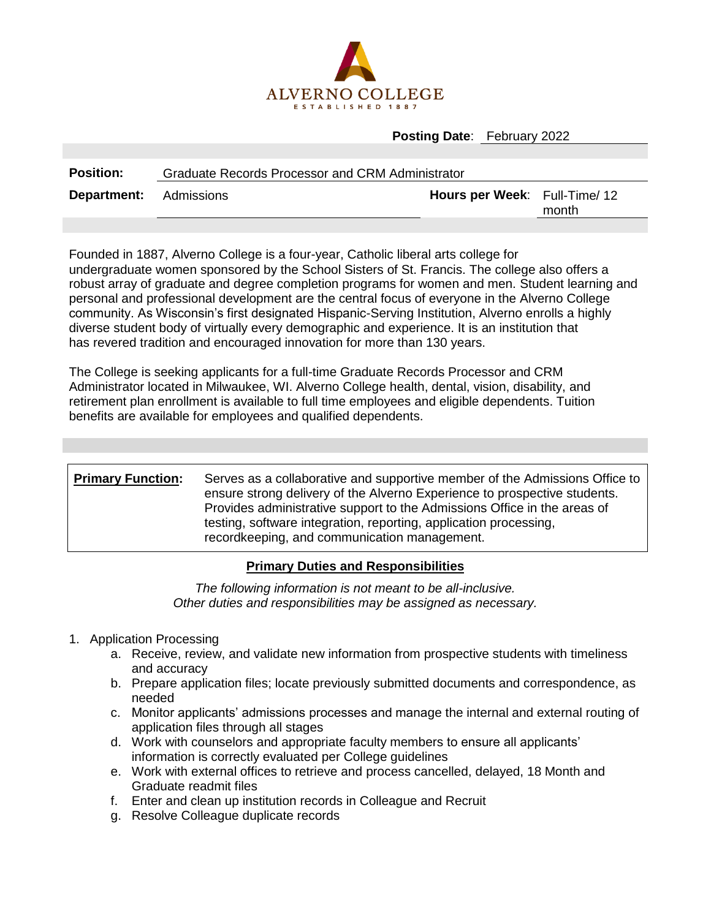

## **Posting Date**: February 2022

| <b>Position:</b>              | <b>Graduate Records Processor and CRM Administrator</b> |                                     |       |
|-------------------------------|---------------------------------------------------------|-------------------------------------|-------|
| <b>Department:</b> Admissions |                                                         | <b>Hours per Week:</b> Full-Time/12 | month |
|                               |                                                         |                                     |       |

Founded in 1887, Alverno College is a four-year, Catholic liberal arts college for undergraduate women sponsored by the School Sisters of St. Francis. The college also offers a robust array of graduate and degree completion programs for women and men. Student learning and personal and professional development are the central focus of everyone in the Alverno College community. As Wisconsin's first designated Hispanic-Serving Institution, Alverno enrolls a highly diverse student body of virtually every demographic and experience. It is an institution that has revered tradition and encouraged innovation for more than 130 years.

The College is seeking applicants for a full-time Graduate Records Processor and CRM Administrator located in Milwaukee, WI. Alverno College health, dental, vision, disability, and retirement plan enrollment is available to full time employees and eligible dependents. Tuition benefits are available for employees and qualified dependents.

| <b>Primary Function:</b> | Serves as a collaborative and supportive member of the Admissions Office to<br>ensure strong delivery of the Alverno Experience to prospective students.<br>Provides administrative support to the Admissions Office in the areas of<br>testing, software integration, reporting, application processing,<br>recordkeeping, and communication management. |
|--------------------------|-----------------------------------------------------------------------------------------------------------------------------------------------------------------------------------------------------------------------------------------------------------------------------------------------------------------------------------------------------------|
|                          |                                                                                                                                                                                                                                                                                                                                                           |

## **Primary Duties and Responsibilities**

*The following information is not meant to be all-inclusive. Other duties and responsibilities may be assigned as necessary.*

- 1. Application Processing
	- a. Receive, review, and validate new information from prospective students with timeliness and accuracy
	- b. Prepare application files; locate previously submitted documents and correspondence, as needed
	- c. Monitor applicants' admissions processes and manage the internal and external routing of application files through all stages
	- d. Work with counselors and appropriate faculty members to ensure all applicants' information is correctly evaluated per College guidelines
	- e. Work with external offices to retrieve and process cancelled, delayed, 18 Month and Graduate readmit files
	- f. Enter and clean up institution records in Colleague and Recruit
	- g. Resolve Colleague duplicate records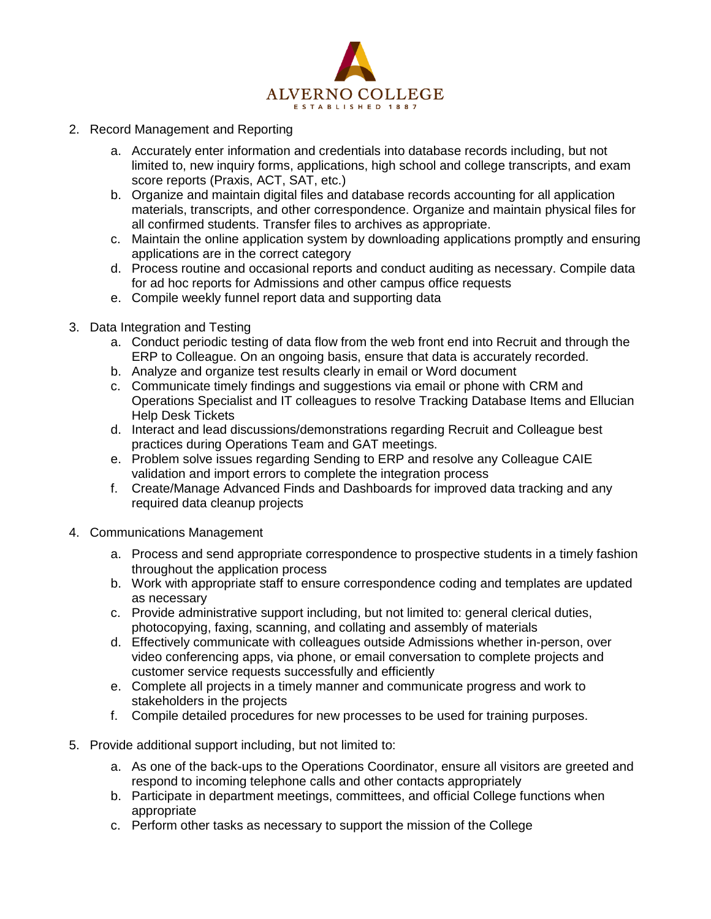

- 2. Record Management and Reporting
	- a. Accurately enter information and credentials into database records including, but not limited to, new inquiry forms, applications, high school and college transcripts, and exam score reports (Praxis, ACT, SAT, etc.)
	- b. Organize and maintain digital files and database records accounting for all application materials, transcripts, and other correspondence. Organize and maintain physical files for all confirmed students. Transfer files to archives as appropriate.
	- c. Maintain the online application system by downloading applications promptly and ensuring applications are in the correct category
	- d. Process routine and occasional reports and conduct auditing as necessary. Compile data for ad hoc reports for Admissions and other campus office requests
	- e. Compile weekly funnel report data and supporting data
- 3. Data Integration and Testing
	- a. Conduct periodic testing of data flow from the web front end into Recruit and through the ERP to Colleague. On an ongoing basis, ensure that data is accurately recorded.
	- b. Analyze and organize test results clearly in email or Word document
	- c. Communicate timely findings and suggestions via email or phone with CRM and Operations Specialist and IT colleagues to resolve Tracking Database Items and Ellucian Help Desk Tickets
	- d. Interact and lead discussions/demonstrations regarding Recruit and Colleague best practices during Operations Team and GAT meetings.
	- e. Problem solve issues regarding Sending to ERP and resolve any Colleague CAIE validation and import errors to complete the integration process
	- f. Create/Manage Advanced Finds and Dashboards for improved data tracking and any required data cleanup projects
- 4. Communications Management
	- a. Process and send appropriate correspondence to prospective students in a timely fashion throughout the application process
	- b. Work with appropriate staff to ensure correspondence coding and templates are updated as necessary
	- c. Provide administrative support including, but not limited to: general clerical duties, photocopying, faxing, scanning, and collating and assembly of materials
	- d. Effectively communicate with colleagues outside Admissions whether in-person, over video conferencing apps, via phone, or email conversation to complete projects and customer service requests successfully and efficiently
	- e. Complete all projects in a timely manner and communicate progress and work to stakeholders in the projects
	- f. Compile detailed procedures for new processes to be used for training purposes.
- 5. Provide additional support including, but not limited to:
	- a. As one of the back-ups to the Operations Coordinator, ensure all visitors are greeted and respond to incoming telephone calls and other contacts appropriately
	- b. Participate in department meetings, committees, and official College functions when appropriate
	- c. Perform other tasks as necessary to support the mission of the College